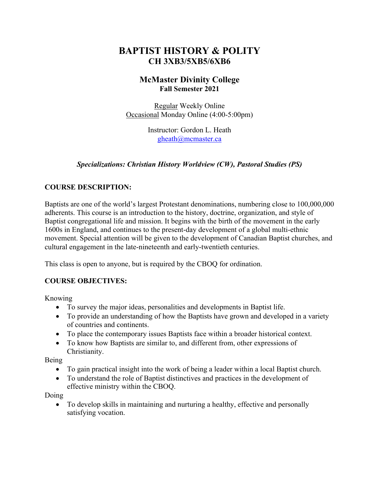# **BAPTIST HISTORY & POLITY CH 3XB3/5XB5/6XB6**

# **McMaster Divinity College Fall Semester 2021**

Regular Weekly Online Occasional Monday Online (4:00-5:00pm)

> Instructor: Gordon L. Heath gheath@mcmaster.ca

# *Specializations: Christian History Worldview (CW), Pastoral Studies (PS)*

# **COURSE DESCRIPTION:**

Baptists are one of the world's largest Protestant denominations, numbering close to 100,000,000 adherents. This course is an introduction to the history, doctrine, organization, and style of Baptist congregational life and mission. It begins with the birth of the movement in the early 1600s in England, and continues to the present-day development of a global multi-ethnic movement. Special attention will be given to the development of Canadian Baptist churches, and cultural engagement in the late-nineteenth and early-twentieth centuries.

This class is open to anyone, but is required by the CBOQ for ordination.

# **COURSE OBJECTIVES:**

Knowing

- To survey the major ideas, personalities and developments in Baptist life.
- To provide an understanding of how the Baptists have grown and developed in a variety of countries and continents.
- To place the contemporary issues Baptists face within a broader historical context.
- To know how Baptists are similar to, and different from, other expressions of Christianity.

Being

- To gain practical insight into the work of being a leader within a local Baptist church.
- To understand the role of Baptist distinctives and practices in the development of effective ministry within the CBOQ.

Doing

• To develop skills in maintaining and nurturing a healthy, effective and personally satisfying vocation.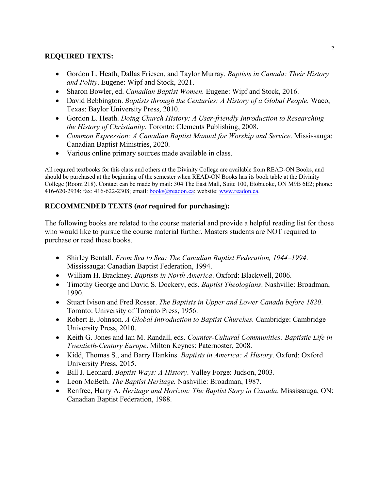# **REQUIRED TEXTS:**

- Gordon L. Heath, Dallas Friesen, and Taylor Murray. *Baptists in Canada: Their History and Polity*. Eugene: Wipf and Stock, 2021.
- Sharon Bowler, ed. *Canadian Baptist Women*. Eugene: Wipf and Stock, 2016.
- David Bebbington. *Baptists through the Centuries: A History of a Global People.* Waco, Texas: Baylor University Press, 2010.
- Gordon L. Heath. *Doing Church History: A User-friendly Introduction to Researching the History of Christianity*. Toronto: Clements Publishing, 2008.
- *Common Expression: A Canadian Baptist Manual for Worship and Service*. Mississauga: Canadian Baptist Ministries, 2020.
- Various online primary sources made available in class.

All required textbooks for this class and others at the Divinity College are available from READ-ON Books, and should be purchased at the beginning of the semester when READ-ON Books has its book table at the Divinity College (Room 218). Contact can be made by mail: 304 The East Mall, Suite 100, Etobicoke, ON M9B 6E2; phone: 416-620-2934; fax: 416-622-2308; email: books@readon.ca; website: www.readon.ca.

# **RECOMMENDED TEXTS (***not* **required for purchasing):**

The following books are related to the course material and provide a helpful reading list for those who would like to pursue the course material further. Masters students are NOT required to purchase or read these books.

- Shirley Bentall. *From Sea to Sea: The Canadian Baptist Federation, 1944–1994*. Mississauga: Canadian Baptist Federation, 1994.
- William H. Brackney. *Baptists in North America*. Oxford: Blackwell, 2006.
- Timothy George and David S. Dockery, eds. *Baptist Theologians*. Nashville: Broadman, 1990.
- Stuart Ivison and Fred Rosser. *The Baptists in Upper and Lower Canada before 1820*. Toronto: University of Toronto Press, 1956.
- Robert E. Johnson. *A Global Introduction to Baptist Churches.* Cambridge: Cambridge University Press, 2010.
- Keith G. Jones and Ian M. Randall, eds. *Counter-Cultural Communities: Baptistic Life in Twentieth-Century Europe*. Milton Keynes: Paternoster, 2008.
- Kidd, Thomas S., and Barry Hankins. *Baptists in America: A History*. Oxford: Oxford University Press, 2015.
- Bill J. Leonard. *Baptist Ways: A History*. Valley Forge: Judson, 2003.
- Leon McBeth. *The Baptist Heritage.* Nashville: Broadman, 1987.
- Renfree, Harry A. *Heritage and Horizon: The Baptist Story in Canada*. Mississauga, ON: Canadian Baptist Federation, 1988.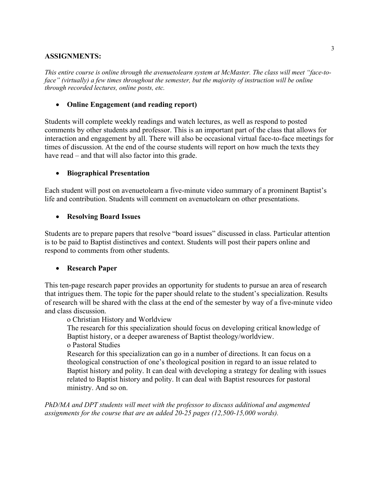### **ASSIGNMENTS:**

*This entire course is online through the avenuetolearn system at McMaster. The class will meet "face-toface" (virtually) a few times throughout the semester, but the majority of instruction will be online through recorded lectures, online posts, etc.*

#### • **Online Engagement (and reading report)**

Students will complete weekly readings and watch lectures, as well as respond to posted comments by other students and professor. This is an important part of the class that allows for interaction and engagement by all. There will also be occasional virtual face-to-face meetings for times of discussion. At the end of the course students will report on how much the texts they have read – and that will also factor into this grade.

### • **Biographical Presentation**

Each student will post on avenuetolearn a five-minute video summary of a prominent Baptist's life and contribution. Students will comment on avenuetolearn on other presentations.

#### • **Resolving Board Issues**

Students are to prepare papers that resolve "board issues" discussed in class. Particular attention is to be paid to Baptist distinctives and context. Students will post their papers online and respond to comments from other students.

#### • **Research Paper**

This ten-page research paper provides an opportunity for students to pursue an area of research that intrigues them. The topic for the paper should relate to the student's specialization. Results of research will be shared with the class at the end of the semester by way of a five-minute video and class discussion.

o Christian History and Worldview

The research for this specialization should focus on developing critical knowledge of Baptist history, or a deeper awareness of Baptist theology/worldview. o Pastoral Studies

Research for this specialization can go in a number of directions. It can focus on a theological construction of one's theological position in regard to an issue related to Baptist history and polity. It can deal with developing a strategy for dealing with issues related to Baptist history and polity. It can deal with Baptist resources for pastoral ministry. And so on.

*PhD/MA and DPT students will meet with the professor to discuss additional and augmented assignments for the course that are an added 20-25 pages (12,500-15,000 words).*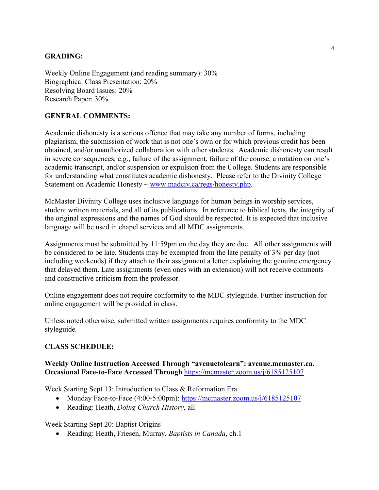#### **GRADING:**

Weekly Online Engagement (and reading summary): 30% Biographical Class Presentation: 20% Resolving Board Issues: 20% Research Paper: 30%

### **GENERAL COMMENTS:**

Academic dishonesty is a serious offence that may take any number of forms, including plagiarism, the submission of work that is not one's own or for which previous credit has been obtained, and/or unauthorized collaboration with other students. Academic dishonesty can result in severe consequences, e.g., failure of the assignment, failure of the course, a notation on one's academic transcript, and/or suspension or expulsion from the College. Students are responsible for understanding what constitutes academic dishonesty. Please refer to the Divinity College Statement on Academic Honesty ~ www.madciv.ca/regs/honesty.php.

McMaster Divinity College uses inclusive language for human beings in worship services, student written materials, and all of its publications. In reference to biblical texts, the integrity of the original expressions and the names of God should be respected. It is expected that inclusive language will be used in chapel services and all MDC assignments.

Assignments must be submitted by 11:59pm on the day they are due. All other assignments will be considered to be late. Students may be exempted from the late penalty of 3% per day (not including weekends) if they attach to their assignment a letter explaining the genuine emergency that delayed them. Late assignments (even ones with an extension) will not receive comments and constructive criticism from the professor.

Online engagement does not require conformity to the MDC styleguide. Further instruction for online engagement will be provided in class.

Unless noted otherwise, submitted written assignments requires conformity to the MDC styleguide*.*

#### **CLASS SCHEDULE:**

#### **Weekly Online Instruction Accessed Through "avenuetolearn": avenue.mcmaster.ca. Occasional Face-to-Face Accessed Through** https://mcmaster.zoom.us/j/6185125107

Week Starting Sept 13: Introduction to Class & Reformation Era

- Monday Face-to-Face (4:00-5:00pm): https://mcmaster.zoom.us/j/6185125107
- Reading: Heath, *Doing Church History*, all

Week Starting Sept 20: Baptist Origins

• Reading: Heath, Friesen, Murray, *Baptists in Canada*, ch.1